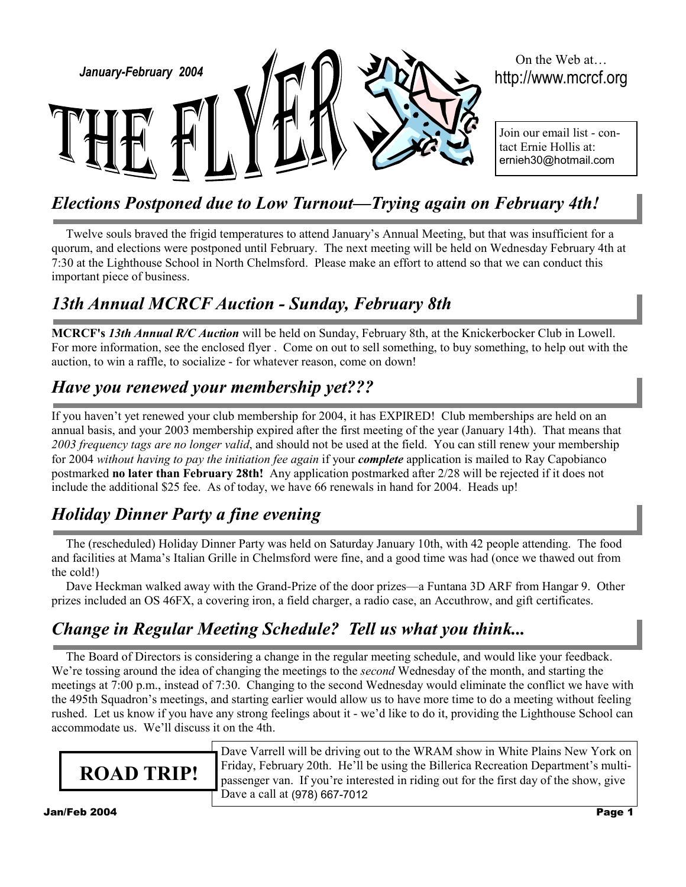

# *Elections Postponed due to Low Turnout—Trying again on February 4th!*

Twelve souls braved the frigid temperatures to attend January's Annual Meeting, but that was insufficient for a quorum, and elections were postponed until February. The next meeting will be held on Wednesday February 4th at 7:30 at the Lighthouse School in North Chelmsford. Please make an effort to attend so that we can conduct this important piece of business.

## *13th Annual MCRCF Auction - Sunday, February 8th*

**MCRCF's** *13th Annual R/C Auction* will be held on Sunday, February 8th, at the Knickerbocker Club in Lowell. For more information, see the enclosed flyer . Come on out to sell something, to buy something, to help out with the auction, to win a raffle, to socialize - for whatever reason, come on down!

## *Have you renewed your membership yet???*

If you haven't yet renewed your club membership for 2004, it has EXPIRED! Club memberships are held on an annual basis, and your 2003 membership expired after the first meeting of the year (January 14th). That means that *2003 frequency tags are no longer valid*, and should not be used at the field. You can still renew your membership for 2004 *without having to pay the initiation fee again* if your *complete* application is mailed to Ray Capobianco postmarked **no later than February 28th!** Any application postmarked after 2/28 will be rejected if it does not include the additional \$25 fee. As of today, we have 66 renewals in hand for 2004. Heads up!

# *Holiday Dinner Party a fine evening*

The (rescheduled) Holiday Dinner Party was held on Saturday January 10th, with 42 people attending. The food and facilities at Mama's Italian Grille in Chelmsford were fine, and a good time was had (once we thawed out from the cold!)

Dave Heckman walked away with the Grand-Prize of the door prizes—a Funtana 3D ARF from Hangar 9. Other prizes included an OS 46FX, a covering iron, a field charger, a radio case, an Accuthrow, and gift certificates.

## *Change in Regular Meeting Schedule? Tell us what you think...*

The Board of Directors is considering a change in the regular meeting schedule, and would like your feedback. We're tossing around the idea of changing the meetings to the *second* Wednesday of the month, and starting the meetings at 7:00 p.m., instead of 7:30. Changing to the second Wednesday would eliminate the conflict we have with the 495th Squadron's meetings, and starting earlier would allow us to have more time to do a meeting without feeling rushed. Let us know if you have any strong feelings about it - we'd like to do it, providing the Lighthouse School can accommodate us. We'll discuss it on the 4th.